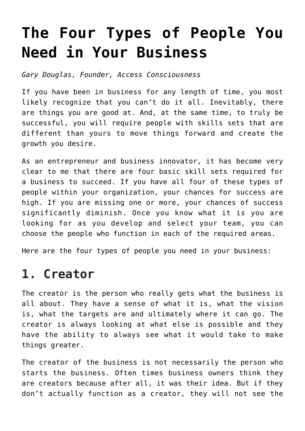# **[The Four Types of People You](https://www.commpro.biz/the-four-types-of-people-you-need-in-your-business/) [Need in Your Business](https://www.commpro.biz/the-four-types-of-people-you-need-in-your-business/)**

*Gary Douglas, Founder, [Access Consciousness](https://www.accessconsciousness.com/)*

If you have been in business for any length of time, you most likely recognize that you can't do it all. Inevitably, there are things you are good at. And, at the same time, to truly be successful, you will require people with skills sets that are different than yours to move things forward and create the growth you desire.

As an entrepreneur and business innovator, it has become very clear to me that there are four basic skill sets required for a business to succeed. If you have all four of these types of people within your organization, your chances for success are high. If you are missing one or more, your chances of success significantly diminish. Once you know what it is you are looking for as you develop and select your team, you can choose the people who function in each of the required areas.

Here are the four types of people you need in your business:

# **1. Creator**

The creator is the person who really gets what the business is all about. They have a sense of what it is, what the vision is, what the targets are and ultimately where it can go. The creator is always looking at what else is possible and they have the ability to always see what it would take to make things greater.

The creator of the business is not necessarily the person who starts the business. Often times business owners think they are creators because after all, it was their idea. But if they don't actually function as a creator, they will not see the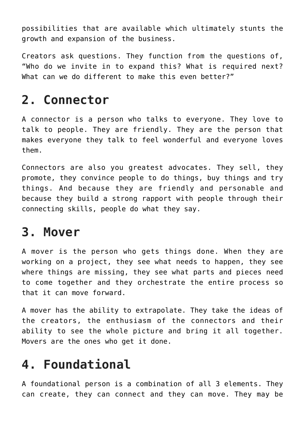possibilities that are available which ultimately stunts the growth and expansion of the business.

Creators ask questions. They function from the questions of, "Who do we invite in to expand this? What is required next? What can we do different to make this even better?"

# **2. Connector**

A connector is a person who talks to everyone. They love to talk to people. They are friendly. They are the person that makes everyone they talk to feel wonderful and everyone loves them.

Connectors are also you greatest advocates. They sell, they promote, they convince people to do things, buy things and try things. And because they are friendly and personable and because they build a strong rapport with people through their connecting skills, people do what they say.

# **3. Mover**

A mover is the person who gets things done. When they are working on a project, they see what needs to happen, they see where things are missing, they see what parts and pieces need to come together and they orchestrate the entire process so that it can move forward.

A mover has the ability to extrapolate. They take the ideas of the creators, the enthusiasm of the connectors and their ability to see the whole picture and bring it all together. Movers are the ones who get it done.

# **4. Foundational**

A foundational person is a combination of all 3 elements. They can create, they can connect and they can move. They may be